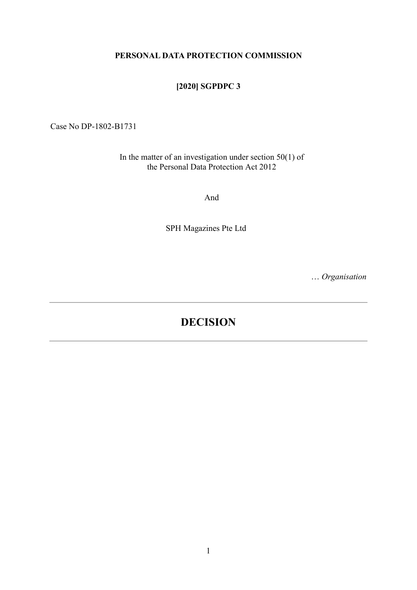#### PERSONAL DATA PROTECTION COMMISSION

### [2020] SGPDPC 3

Case No DP-1802-B1731

In the matter of an investigation under section  $50(1)$  of the Personal Data Protection Act 2012

And

SPH Magazines Pte Ltd

… Organisation

# DECISION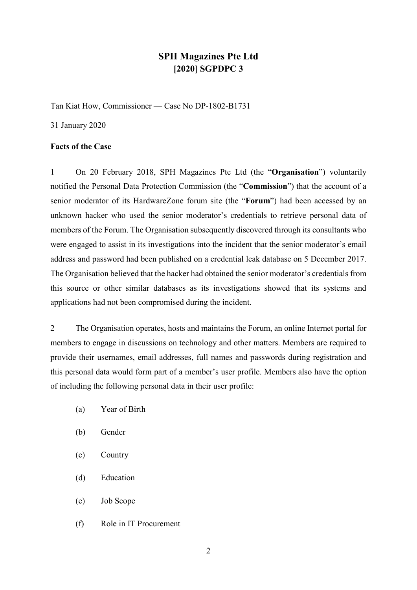## SPH Magazines Pte Ltd [2020] SGPDPC 3

Tan Kiat How, Commissioner — Case No DP-1802-B1731

31 January 2020

#### Facts of the Case

1 On 20 February 2018, SPH Magazines Pte Ltd (the "Organisation") voluntarily notified the Personal Data Protection Commission (the "Commission") that the account of a senior moderator of its HardwareZone forum site (the "Forum") had been accessed by an unknown hacker who used the senior moderator's credentials to retrieve personal data of members of the Forum. The Organisation subsequently discovered through its consultants who were engaged to assist in its investigations into the incident that the senior moderator's email address and password had been published on a credential leak database on 5 December 2017. The Organisation believed that the hacker had obtained the senior moderator's credentials from this source or other similar databases as its investigations showed that its systems and applications had not been compromised during the incident.

2 The Organisation operates, hosts and maintains the Forum, an online Internet portal for members to engage in discussions on technology and other matters. Members are required to provide their usernames, email addresses, full names and passwords during registration and this personal data would form part of a member's user profile. Members also have the option of including the following personal data in their user profile:

- (a) Year of Birth
- (b) Gender
- (c) Country
- (d) Education
- (e) Job Scope
- (f) Role in IT Procurement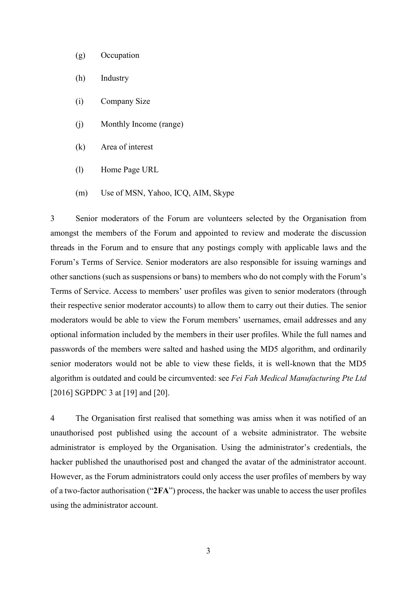- (g) Occupation
- (h) Industry
- (i) Company Size
- (j) Monthly Income (range)
- (k) Area of interest
- (l) Home Page URL
- (m) Use of MSN, Yahoo, ICQ, AIM, Skype

3 Senior moderators of the Forum are volunteers selected by the Organisation from amongst the members of the Forum and appointed to review and moderate the discussion threads in the Forum and to ensure that any postings comply with applicable laws and the Forum's Terms of Service. Senior moderators are also responsible for issuing warnings and other sanctions (such as suspensions or bans) to members who do not comply with the Forum's Terms of Service. Access to members' user profiles was given to senior moderators (through their respective senior moderator accounts) to allow them to carry out their duties. The senior moderators would be able to view the Forum members' usernames, email addresses and any optional information included by the members in their user profiles. While the full names and passwords of the members were salted and hashed using the MD5 algorithm, and ordinarily senior moderators would not be able to view these fields, it is well-known that the MD5 algorithm is outdated and could be circumvented: see Fei Fah Medical Manufacturing Pte Ltd [2016] SGPDPC 3 at [19] and [20].

4 The Organisation first realised that something was amiss when it was notified of an unauthorised post published using the account of a website administrator. The website administrator is employed by the Organisation. Using the administrator's credentials, the hacker published the unauthorised post and changed the avatar of the administrator account. However, as the Forum administrators could only access the user profiles of members by way of a two-factor authorisation ("2FA") process, the hacker was unable to access the user profiles using the administrator account.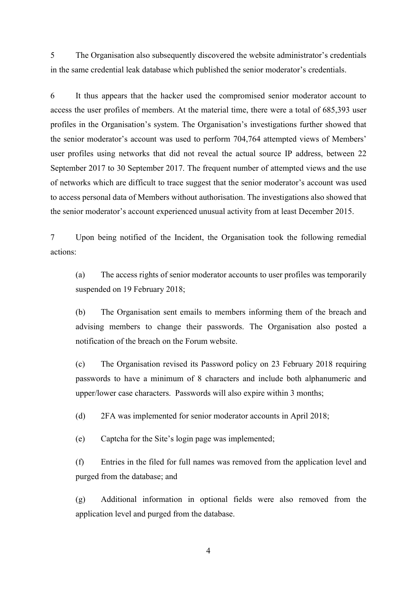5 The Organisation also subsequently discovered the website administrator's credentials in the same credential leak database which published the senior moderator's credentials.

6 It thus appears that the hacker used the compromised senior moderator account to access the user profiles of members. At the material time, there were a total of 685,393 user profiles in the Organisation's system. The Organisation's investigations further showed that the senior moderator's account was used to perform 704,764 attempted views of Members' user profiles using networks that did not reveal the actual source IP address, between 22 September 2017 to 30 September 2017. The frequent number of attempted views and the use of networks which are difficult to trace suggest that the senior moderator's account was used to access personal data of Members without authorisation. The investigations also showed that the senior moderator's account experienced unusual activity from at least December 2015.

7 Upon being notified of the Incident, the Organisation took the following remedial actions:

(a) The access rights of senior moderator accounts to user profiles was temporarily suspended on 19 February 2018;

(b) The Organisation sent emails to members informing them of the breach and advising members to change their passwords. The Organisation also posted a notification of the breach on the Forum website.

(c) The Organisation revised its Password policy on 23 February 2018 requiring passwords to have a minimum of 8 characters and include both alphanumeric and upper/lower case characters. Passwords will also expire within 3 months;

(d) 2FA was implemented for senior moderator accounts in April 2018;

(e) Captcha for the Site's login page was implemented;

(f) Entries in the filed for full names was removed from the application level and purged from the database; and

(g) Additional information in optional fields were also removed from the application level and purged from the database.

4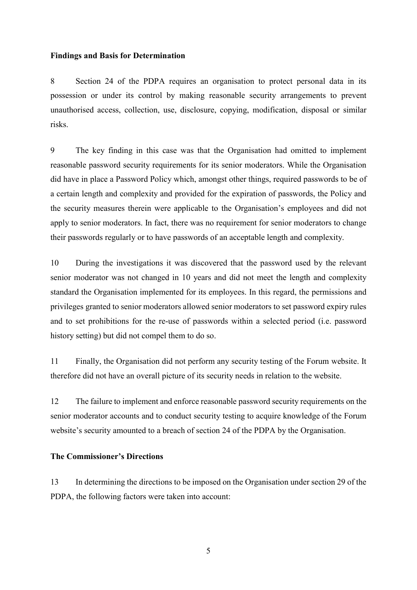#### Findings and Basis for Determination

8 Section 24 of the PDPA requires an organisation to protect personal data in its possession or under its control by making reasonable security arrangements to prevent unauthorised access, collection, use, disclosure, copying, modification, disposal or similar risks.

9 The key finding in this case was that the Organisation had omitted to implement reasonable password security requirements for its senior moderators. While the Organisation did have in place a Password Policy which, amongst other things, required passwords to be of a certain length and complexity and provided for the expiration of passwords, the Policy and the security measures therein were applicable to the Organisation's employees and did not apply to senior moderators. In fact, there was no requirement for senior moderators to change their passwords regularly or to have passwords of an acceptable length and complexity.

10 During the investigations it was discovered that the password used by the relevant senior moderator was not changed in 10 years and did not meet the length and complexity standard the Organisation implemented for its employees. In this regard, the permissions and privileges granted to senior moderators allowed senior moderators to set password expiry rules and to set prohibitions for the re-use of passwords within a selected period (i.e. password history setting) but did not compel them to do so.

11 Finally, the Organisation did not perform any security testing of the Forum website. It therefore did not have an overall picture of its security needs in relation to the website.

12 The failure to implement and enforce reasonable password security requirements on the senior moderator accounts and to conduct security testing to acquire knowledge of the Forum website's security amounted to a breach of section 24 of the PDPA by the Organisation.

#### The Commissioner's Directions

13 In determining the directions to be imposed on the Organisation under section 29 of the PDPA, the following factors were taken into account: